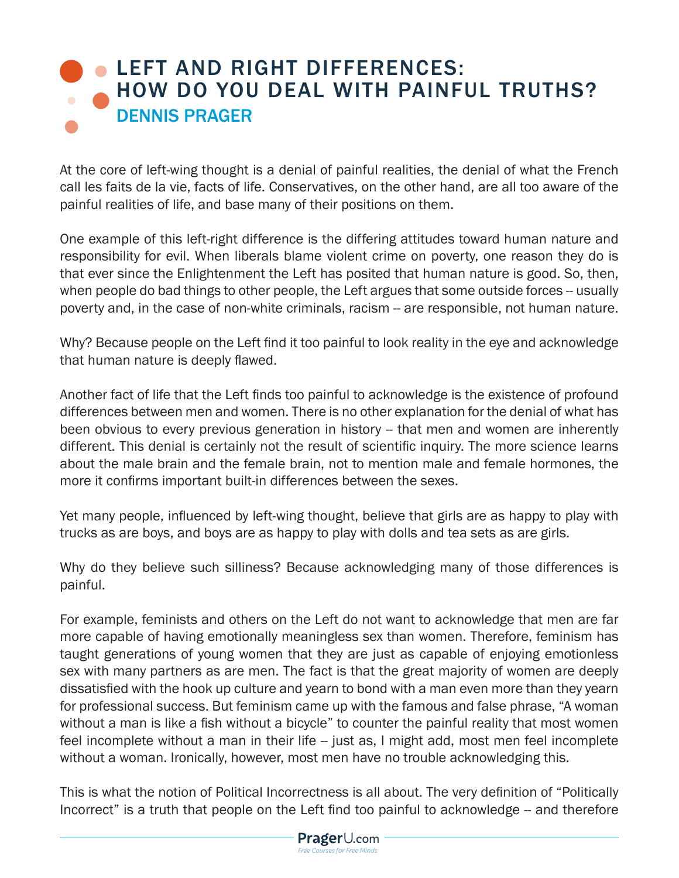## **LEFT AND RIGHT DIFFERENCES:** [HOW DO YOU DEAL WITH PAINFUL TRUTHS?](https://www.prageru.com/courses/left-and-right-differences/how-do-you-deal-painful-truths-left-vs-right-4) DENNIS PRAGER

At the core of left-wing thought is a denial of painful realities, the denial of what the French call les faits de la vie, facts of life. Conservatives, on the other hand, are all too aware of the painful realities of life, and base many of their positions on them.

One example of this left-right difference is the differing attitudes toward human nature and responsibility for evil. When liberals blame violent crime on poverty, one reason they do is that ever since the Enlightenment the Left has posited that human nature is good. So, then, when people do bad things to other people, the Left argues that some outside forces -- usually poverty and, in the case of non-white criminals, racism -- are responsible, not human nature.

Why? Because people on the Left find it too painful to look reality in the eye and acknowledge that human nature is deeply flawed.

Another fact of life that the Left finds too painful to acknowledge is the existence of profound differences between men and women. There is no other explanation for the denial of what has been obvious to every previous generation in history -- that men and women are inherently different. This denial is certainly not the result of scientific inquiry. The more science learns about the male brain and the female brain, not to mention male and female hormones, the more it confirms important built-in differences between the sexes.

Yet many people, influenced by left-wing thought, believe that girls are as happy to play with trucks as are boys, and boys are as happy to play with dolls and tea sets as are girls.

Why do they believe such silliness? Because acknowledging many of those differences is painful.

For example, feminists and others on the Left do not want to acknowledge that men are far more capable of having emotionally meaningless sex than women. Therefore, feminism has taught generations of young women that they are just as capable of enjoying emotionless sex with many partners as are men. The fact is that the great majority of women are deeply dissatisfied with the hook up culture and yearn to bond with a man even more than they yearn for professional success. But feminism came up with the famous and false phrase, "A woman without a man is like a fish without a bicycle" to counter the painful reality that most women feel incomplete without a man in their life -- just as, I might add, most men feel incomplete without a woman. Ironically, however, most men have no trouble acknowledging this.

This is what the notion of Political Incorrectness is all about. The very definition of "Politically Incorrect" is a truth that people on the Left find too painful to acknowledge -- and therefore